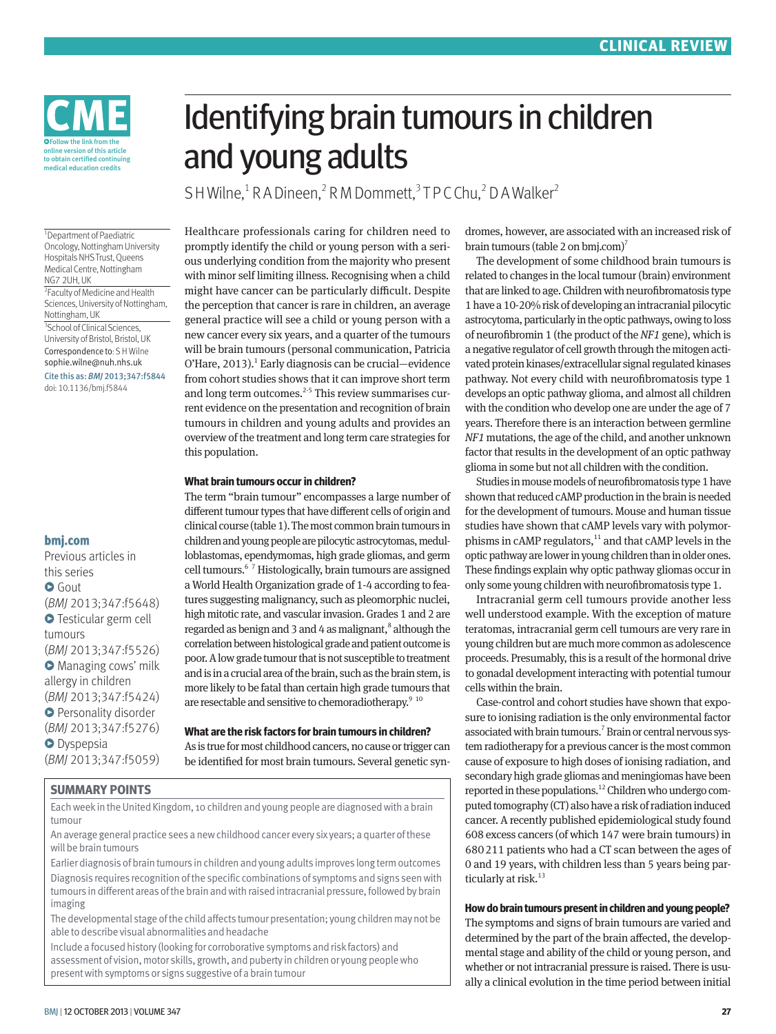

<sup>1</sup> Department of Paediatric Oncology, Nottingham University Hospitals NHS Trust, Queens Medical Centre, Nottingham NG7 2UH, UK

2 Faculty of Medicine and Health Sciences, University of Nottingham, Nottingham, UK 3 School of Clinical Sciences, University of Bristol, Bristol, UK Correspondence to: S H Wilne sophie.wilne@nuh.nhs.uk

Cite this as: *BMJ* 2013;347:f5844 doi: 10.1136/bmj.f5844

#### **bmj.com**

Previous articles in this series **O** Gout (*BMJ* 2013;347:f5648) **O** Testicular germ cell tumours (*BMJ* 2013;347:f5526) **O** Managing cows' milk allergy in children (*BMJ* 2013;347:f5424) **O** Personality disorder (*BMJ* 2013;347:f5276) **O** Dyspepsia (*BMJ* 2013;347:f5059)

# Identifying brain tumours in children and young adults

SH Wilne,<sup>1</sup> R A Dineen,<sup>2</sup> R M Dommett,<sup>3</sup> T P C Chu,<sup>2</sup> D A Walker<sup>2</sup>

Healthcare professionals caring for children need to promptly identify the child or young person with a serious underlying condition from the majority who present with minor self limiting illness. Recognising when a child might have cancer can be particularly difficult. Despite the perception that cancer is rare in children, an average general practice will see a child or young person with a new cancer every six years, and a quarter of the tumours will be brain tumours (personal communication, Patricia  $O'$ Hare, 2013).<sup>1</sup> Early diagnosis can be crucial—evidence from cohort studies shows that it can improve short term and long term outcomes.<sup>2-5</sup> This review summarises current evidence on the presentation and recognition of brain tumours in children and young adults and provides an overview of the treatment and long term care strategies for this population.

#### **What brain tumours occur in children?**

The term "brain tumour" encompasses a large number of different tumour types that have different cells of origin and clinical course (table 1). The most common brain tumours in children and young people are pilocytic astrocytomas, medulloblastomas, ependymomas, high grade gliomas, and germ cell tumours.6 7 Histologically, brain tumours are assigned a World Health Organization grade of 1-4 according to features suggesting malignancy, such as pleomorphic nuclei, high mitotic rate, and vascular invasion. Grades 1 and 2 are regarded as benign and 3 and 4 as malignant,<sup>8</sup> although the correlation between histological grade and patient outcome is poor. A low grade tumour that is not susceptible to treatment and is in a crucial area of the brain, such as the brain stem, is more likely to be fatal than certain high grade tumours that are resectable and sensitive to chemoradiotherapy.<sup>9 10</sup>

## **What are the risk factors for brain tumours in children?**

As is true for most childhood cancers, no cause or trigger can be identified for most brain tumours. Several genetic syn-

### **SUMMARY POINTS**

Each week in the United Kingdom, 10 children and young people are diagnosed with a brain tumour

An average general practice sees a new childhood cancer every six years; a quarter of these will be brain tumours

Earlier diagnosis of brain tumours in children and young adults improves long term outcomes Diagnosis requires recognition of the specific combinations of symptoms and signs seen with tumours in different areas of the brain and with raised intracranial pressure, followed by brain imaging

The developmental stage of the child affects tumour presentation; young children may not be able to describe visual abnormalities and headache

Include a focused history (looking for corroborative symptoms and risk factors) and assessment of vision, motor skills, growth, and puberty in children or young people who present with symptoms or signs suggestive of a brain tumour

dromes, however, are associated with an increased risk of brain tumours (table 2 on bmj.com)7

The development of some childhood brain tumours is related to changes in the local tumour (brain) environment that are linked to age. Children with neurofibromatosis type 1 have a 10-20% risk of developing an intracranial pilocytic astrocytoma, particularly in the optic pathways, owing to loss of neurofibromin 1 (the product of the *NF1* gene), which is a negative regulator of cell growth through the mitogen activated protein kinases/extracellular signal regulated kinases pathway. Not every child with neurofibromatosis type 1 develops an optic pathway glioma, and almost all children with the condition who develop one are under the age of 7 years. Therefore there is an interaction between germline *NF1* mutations, the age of the child, and another unknown factor that results in the development of an optic pathway glioma in some but not all children with the condition.

Studies in mouse models of neurofibromatosis type 1 have shown that reduced cAMP production in the brain is needed for the development of tumours. Mouse and human tissue studies have shown that cAMP levels vary with polymorphisms in cAMP regulators, $11$  and that cAMP levels in the optic pathway are lower in young children than in older ones. These findings explain why optic pathway gliomas occur in only some young children with neurofibromatosis type 1.

Intracranial germ cell tumours provide another less well understood example. With the exception of mature teratomas, intracranial germ cell tumours are very rare in young children but are much more common as adolescence proceeds. Presumably, this is a result of the hormonal drive to gonadal development interacting with potential tumour cells within the brain.

Case-control and cohort studies have shown that exposure to ionising radiation is the only environmental factor associated with brain tumours.<sup>7</sup> Brain or central nervous system radiotherapy for a previous cancer is the most common cause of exposure to high doses of ionising radiation, and secondary high grade gliomas and meningiomas have been reported in these populations.<sup>12</sup> Children who undergo computed tomography (CT) also have a risk of radiation induced cancer. A recently published epidemiological study found 608 excess cancers (of which 147 were brain tumours) in 680211 patients who had a CT scan between the ages of 0 and 19 years, with children less than 5 years being particularly at risk.<sup>13</sup>

### **How do brain tumours present in children and young people?**

The symptoms and signs of brain tumours are varied and determined by the part of the brain affected, the developmental stage and ability of the child or young person, and whether or not intracranial pressure is raised. There is usually a clinical evolution in the time period between initial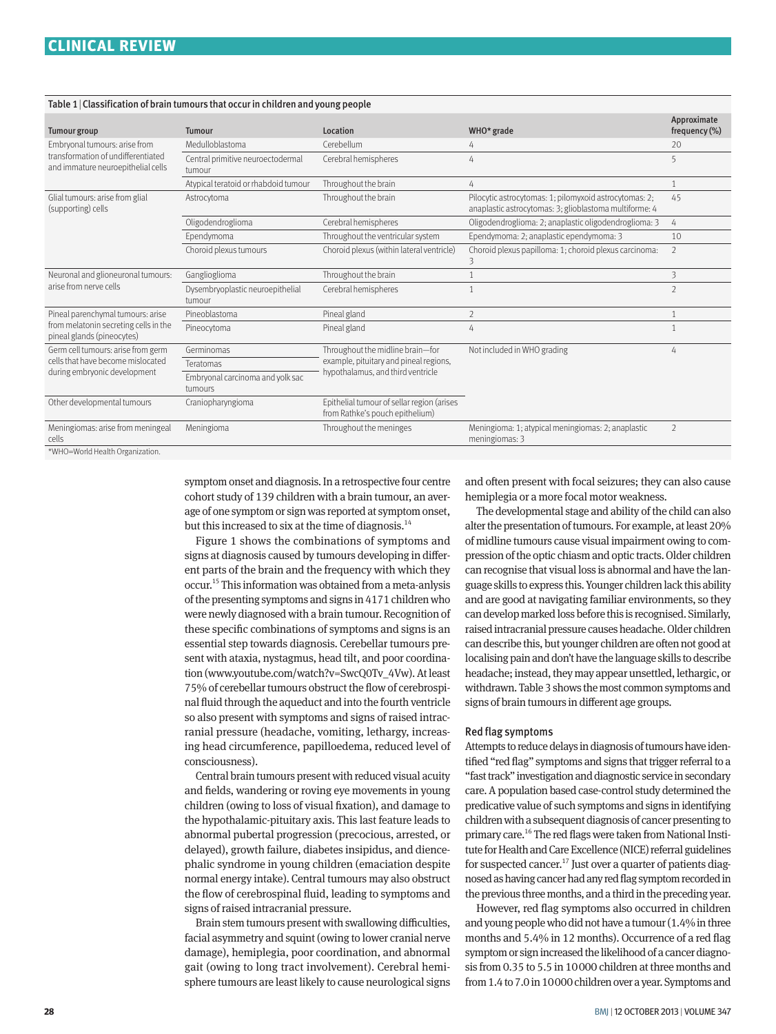### Table 1|Classification of brain tumours that occur in children and young people

| <b>Tumour group</b>                                                                                       | <b>Tumour</b>                               | Location                                                                      | WHO* grade                                                                                                       | Approximate<br>frequency $(\%)$ |
|-----------------------------------------------------------------------------------------------------------|---------------------------------------------|-------------------------------------------------------------------------------|------------------------------------------------------------------------------------------------------------------|---------------------------------|
| Embryonal tumours: arise from<br>transformation of undifferentiated<br>and immature neuroepithelial cells | Medulloblastoma                             | Cerebellum                                                                    | 4                                                                                                                | 20                              |
|                                                                                                           | Central primitive neuroectodermal<br>tumour | Cerebral hemispheres                                                          | 4                                                                                                                | 5                               |
|                                                                                                           | Atypical teratoid or rhabdoid tumour        | Throughout the brain                                                          | 4                                                                                                                |                                 |
| Glial tumours: arise from glial<br>(supporting) cells                                                     | Astrocytoma                                 | Throughout the brain                                                          | Pilocytic astrocytomas: 1; pilomyxoid astrocytomas: 2;<br>anaplastic astrocytomas: 3; glioblastoma multiforme: 4 | 45                              |
|                                                                                                           | Oligodendroglioma                           | Cerebral hemispheres                                                          | Oligodendroglioma: 2; anaplastic oligodendroglioma: 3                                                            | 4                               |
|                                                                                                           | Ependymoma                                  | Throughout the ventricular system                                             | Ependymoma: 2; anaplastic ependymoma: 3                                                                          | 10                              |
|                                                                                                           | Choroid plexus tumours                      | Choroid plexus (within lateral ventricle)                                     | Choroid plexus papilloma: 1; choroid plexus carcinoma:<br>3                                                      | $\overline{2}$                  |
| Neuronal and glioneuronal tumours:<br>arise from nerve cells                                              | Ganglioglioma                               | Throughout the brain                                                          |                                                                                                                  | 3                               |
|                                                                                                           | Dysembryoplastic neuroepithelial<br>tumour  | Cerebral hemispheres                                                          |                                                                                                                  | $\overline{2}$                  |
| Pineal parenchymal tumours: arise<br>from melatonin secreting cells in the<br>pineal glands (pineocytes)  | Pineoblastoma                               | Pineal gland                                                                  | $\overline{2}$                                                                                                   |                                 |
|                                                                                                           | Pineocytoma                                 | Pineal gland                                                                  | 4                                                                                                                |                                 |
| Germ cell tumours: arise from germ<br>cells that have become mislocated<br>during embryonic development   | Germinomas                                  | Throughout the midline brain-for<br>example, pituitary and pineal regions,    | Not included in WHO grading                                                                                      | 4                               |
|                                                                                                           | Teratomas                                   |                                                                               |                                                                                                                  |                                 |
|                                                                                                           | Embryonal carcinoma and yolk sac<br>tumours | hypothalamus, and third ventricle                                             |                                                                                                                  |                                 |
| Other developmental tumours                                                                               | Craniopharyngioma                           | Epithelial tumour of sellar region (arises<br>from Rathke's pouch epithelium) |                                                                                                                  |                                 |
| Meningiomas: arise from meningeal<br>cells<br>$*11110$ $M\alpha$ dd Haalth Organization                   | Meningioma                                  | Throughout the meninges                                                       | Meningioma: 1; atypical meningiomas: 2; anaplastic<br>meningiomas: 3                                             | $\overline{2}$                  |

\*WHO=World Health Organization.

symptom onset and diagnosis. In a retrospective four centre cohort study of 139 children with a brain tumour, an average of one symptom or sign was reported at symptom onset, but this increased to six at the time of diagnosis.<sup>14</sup>

Figure 1 shows the combinations of symptoms and signs at diagnosis caused by tumours developing in different parts of the brain and the frequency with which they occur.15 This information was obtained from a meta-anlysis of the presenting symptoms and signs in 4171 children who were newly diagnosed with a brain tumour. Recognition of these specific combinations of symptoms and signs is an essential step towards diagnosis. Cerebellar tumours present with ataxia, nystagmus, head tilt, and poor coordination (www.youtube.com/watch?v=SwcQ0Tv\_4Vw). At least 75% of cerebellar tumours obstruct the flow of cerebrospinal fluid through the aqueduct and into the fourth ventricle so also present with symptoms and signs of raised intracranial pressure (headache, vomiting, lethargy, increasing head circumference, papilloedema, reduced level of consciousness).

Central brain tumours present with reduced visual acuity and fields, wandering or roving eye movements in young children (owing to loss of visual fixation), and damage to the hypothalamic-pituitary axis. This last feature leads to abnormal pubertal progression (precocious, arrested, or delayed), growth failure, diabetes insipidus, and diencephalic syndrome in young children (emaciation despite normal energy intake). Central tumours may also obstruct the flow of cerebrospinal fluid, leading to symptoms and signs of raised intracranial pressure.

Brain stem tumours present with swallowing difficulties, facial asymmetry and squint (owing to lower cranial nerve damage), hemiplegia, poor coordination, and abnormal gait (owing to long tract involvement). Cerebral hemisphere tumours are least likely to cause neurological signs and often present with focal seizures; they can also cause hemiplegia or a more focal motor weakness.

The developmental stage and ability of the child can also alter the presentation of tumours. For example, at least 20% of midline tumours cause visual impairment owing to compression of the optic chiasm and optic tracts. Older children can recognise that visual loss is abnormal and have the language skills to express this. Younger children lack this ability and are good at navigating familiar environments, so they can develop marked loss before this is recognised. Similarly, raised intracranial pressure causes headache. Older children can describe this, but younger children are often not good at localising pain and don't have the language skills to describe headache; instead, they may appear unsettled, lethargic, or withdrawn. Table 3 shows the most common symptoms and signs of brain tumours in different age groups.

#### Red flag symptoms

Attempts to reduce delays in diagnosis of tumours have identified "red flag" symptoms and signs that trigger referral to a "fast track" investigation and diagnostic service in secondary care. A population based case-control study determined the predicative value of such symptoms and signs in identifying children with a subsequent diagnosis of cancer presenting to primary care.<sup>16</sup> The red flags were taken from National Institute for Health and Care Excellence (NICE) referral guidelines for suspected cancer.<sup>17</sup> Just over a quarter of patients diagnosed as having cancer had any red flag symptom recorded in the previous three months, and a third in the preceding year.

However, red flag symptoms also occurred in children and young people who did not have a tumour (1.4% in three months and 5.4% in 12 months). Occurrence of a red flag symptom or sign increased the likelihood of a cancer diagnosis from 0.35 to 5.5 in 10000 children at three months and from 1.4 to 7.0 in 10000 children over a year. Symptoms and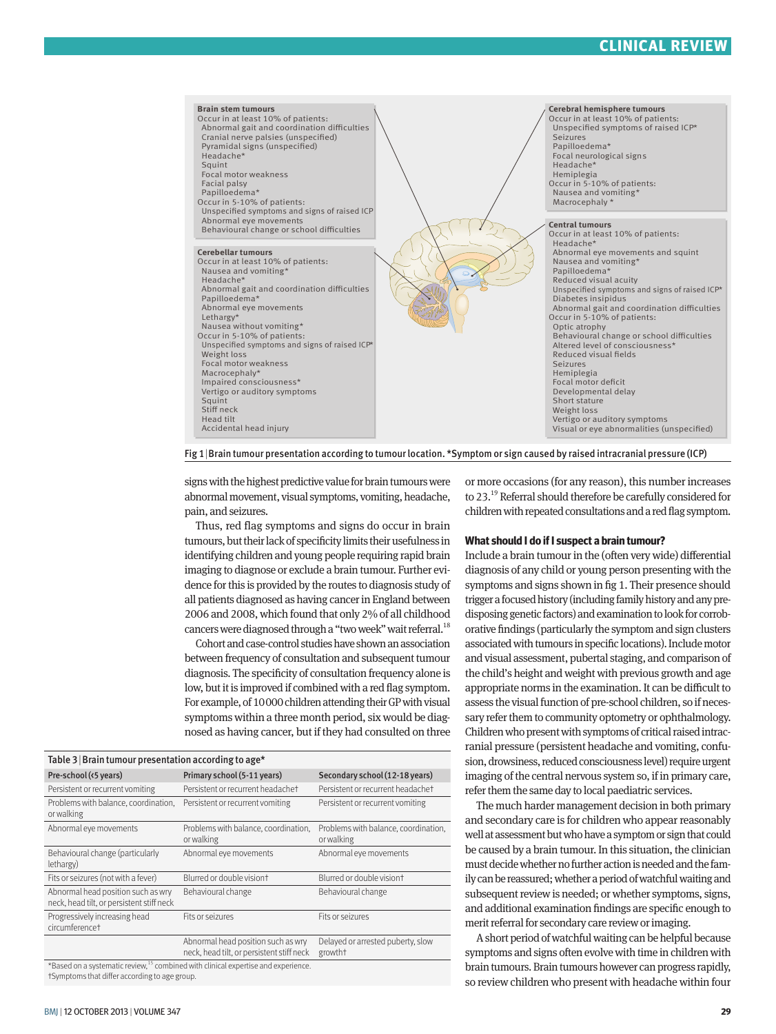# **CLINICAL REVIEW**



Fig 1|Brain tumour presentation according to tumour location. \*Symptom or sign caused by raised intracranial pressure (ICP)

signs with the highest predictive value for brain tumours were abnormal movement, visual symptoms, vomiting, headache, pain, and seizures.

Thus, red flag symptoms and signs do occur in brain tumours, but their lack of specificity limits their usefulness in identifying children and young people requiring rapid brain imaging to diagnose or exclude a brain tumour. Further evidence for this is provided by the routes to diagnosis study of all patients diagnosed as having cancer in England between 2006 and 2008, which found that only 2% of all childhood cancers were diagnosed through a "two week" wait referral.<sup>18</sup>

Cohort and case-control studies have shown an association between frequency of consultation and subsequent tumour diagnosis. The specificity of consultation frequency alone is low, but it is improved if combined with a red flag symptom. For example, of 10000 children attending their GP with visual symptoms within a three month period, six would be diagnosed as having cancer, but if they had consulted on three

| Table 3   Brain tumour presentation according to age*                                         |                                                                                 |                                                    |  |  |  |
|-----------------------------------------------------------------------------------------------|---------------------------------------------------------------------------------|----------------------------------------------------|--|--|--|
| Pre-school (<5 years)                                                                         | Primary school (5-11 years)                                                     | Secondary school (12-18 years)                     |  |  |  |
| Persistent or recurrent vomiting                                                              | Persistent or recurrent headachet                                               | Persistent or recurrent headachet                  |  |  |  |
| Problems with balance, coordination,<br>or walking                                            | Persistent or recurrent vomiting                                                | Persistent or recurrent vomiting                   |  |  |  |
| Abnormal eye movements                                                                        | Problems with balance, coordination,<br>or walking                              | Problems with balance, coordination,<br>or walking |  |  |  |
| Behavioural change (particularly<br>lethargy)                                                 | Abnormal eye movements                                                          | Abnormal eye movements                             |  |  |  |
| Fits or seizures (not with a fever)                                                           | Blurred or double visiont                                                       | Blurred or double visiont                          |  |  |  |
| Abnormal head position such as wry<br>neck, head tilt, or persistent stiff neck               | Behavioural change                                                              | Behavioural change                                 |  |  |  |
| Progressively increasing head<br>circumferencet                                               | Fits or seizures                                                                | Fits or seizures                                   |  |  |  |
|                                                                                               | Abnormal head position such as wry<br>neck, head tilt, or persistent stiff neck | Delayed or arrested puberty, slow<br>growtht       |  |  |  |
| *Based on a systematic review, <sup>15</sup> combined with clinical expertise and experience. |                                                                                 |                                                    |  |  |  |
| †Symptoms that differ according to age group.                                                 |                                                                                 |                                                    |  |  |  |

BMJ | 12 OCTOBER 2013 | VOLUME 347 **29**

or more occasions (for any reason), this number increases to 23.19 Referral should therefore be carefully considered for children with repeated consultations and a red flag symptom.

#### **What should I do if I suspect a brain tumour?**

Include a brain tumour in the (often very wide) differential diagnosis of any child or young person presenting with the symptoms and signs shown in fig 1. Their presence should trigger a focused history (including family history and any predisposing genetic factors) and examination to look for corroborative findings (particularly the symptom and sign clusters associated with tumours in specific locations). Include motor and visual assessment, pubertal staging, and comparison of the child's height and weight with previous growth and age appropriate norms in the examination. It can be difficult to assess the visual function of pre-school children, so if necessary refer them to community optometry or ophthalmology. Children who present with symptoms of critical raised intracranial pressure (persistent headache and vomiting, confusion, drowsiness, reduced consciousness level) require urgent imaging of the central nervous system so, if in primary care, refer them the same day to local paediatric services.

The much harder management decision in both primary and secondary care is for children who appear reasonably well at assessment but who have a symptom or sign that could be caused by a brain tumour. In this situation, the clinician must decide whether no further action is needed and the family can be reassured; whether a period of watchful waiting and subsequent review is needed; or whether symptoms, signs, and additional examination findings are specific enough to merit referral for secondary care review or imaging.

A short period of watchful waiting can be helpful because symptoms and signs often evolve with time in children with brain tumours. Brain tumours however can progress rapidly, so review children who present with headache within four